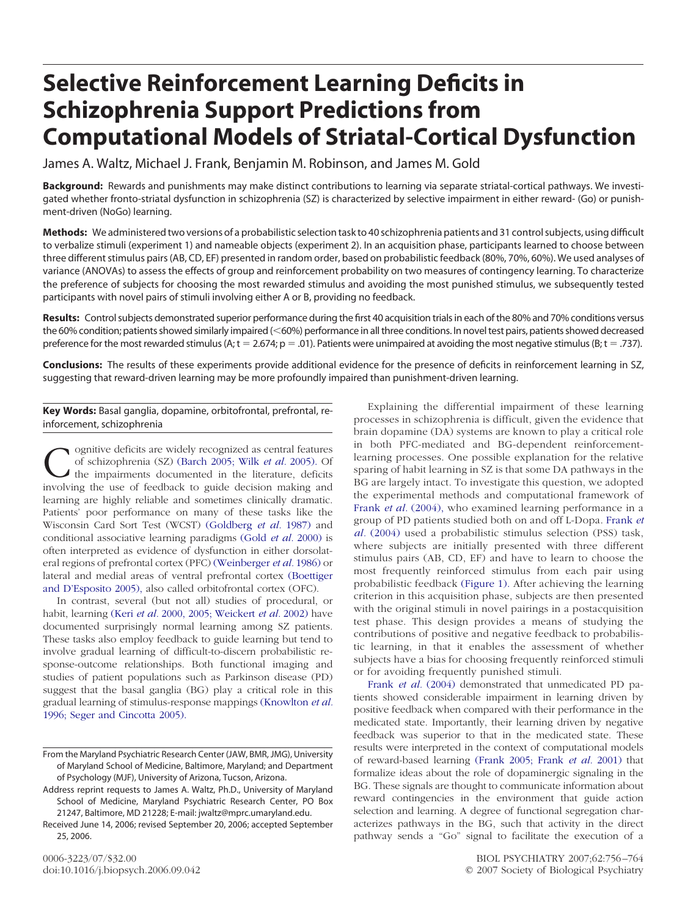# **Selective Reinforcement Learning Deficits in Schizophrenia Support Predictions from Computational Models of Striatal-Cortical Dysfunction**

James A. Waltz, Michael J. Frank, Benjamin M. Robinson, and James M. Gold

**Background:** Rewards and punishments may make distinct contributions to learning via separate striatal-cortical pathways. We investigated whether fronto-striatal dysfunction in schizophrenia (SZ) is characterized by selective impairment in either reward- (Go) or punishment-driven (NoGo) learning.

**Methods:** We administered two versions of a probabilistic selection task to 40 schizophrenia patients and 31 control subjects, using difficult to verbalize stimuli (experiment 1) and nameable objects (experiment 2). In an acquisition phase, participants learned to choose between three different stimulus pairs (AB, CD, EF) presented in random order, based on probabilistic feedback (80%, 70%, 60%). We used analyses of variance (ANOVAs) to assess the effects of group and reinforcement probability on two measures of contingency learning. To characterize the preference of subjects for choosing the most rewarded stimulus and avoiding the most punished stimulus, we subsequently tested participants with novel pairs of stimuli involving either A or B, providing no feedback.

**Results:** Control subjects demonstrated superior performance during the first 40 acquisition trials in each of the 80% and 70% conditions versus the 60% condition; patients showed similarly impaired (<60%) performance in all three conditions. In novel test pairs, patients showed decreased preference for the most rewarded stimulus (A;  $t = 2.674$ ;  $p = .01$ ). Patients were unimpaired at avoiding the most negative stimulus (B;  $t = .737$ ).

**Conclusions:** The results of these experiments provide additional evidence for the presence of deficits in reinforcement learning in SZ, suggesting that reward-driven learning may be more profoundly impaired than punishment-driven learning.

**Key Words:** Basal ganglia, dopamine, orbitofrontal, prefrontal, reinforcement, schizophrenia

**Cognitive deficits are wi[dely](#page-7-0) [recognized](#page-7-0) [as](#page-7-0) [central](#page-7-0) [feat](#page-7-0)ures**<br>of schizophrenia (SZ) (Barch 2005; Wilk *et al.* 2005). Of<br>the impairments documented in the literature, deficits<br>involving the use of feedback to guide decisi of schizophrenia (SZ) (Barch 2005; Wilk *et al.* 2005). Of involving the use of feedback to guide decision making and learning are highly reliable and sometimes clinically dramatic. Patients' poor performance on many of these tasks like the Wisconsin Card Sort Test (WCST) [\(Goldberg](#page-7-0) *et al.* 1987) and conditional associative learning paradigms [\(Gold](#page-7-0) *et al.* 2000) is often interpreted as evidence of dysfunction in either dorsolateral regions of prefrontal cortex (PFC) [\(Weinberger](#page-8-0) *et al.* 1986) or lateral and medial areas of ventral prefrontal cortex [\(Boettiger](#page-7-0) and [D'Esposito](#page-7-0) 2005), also called orbitofrontal cortex (OFC).

In contrast, several (but not all) studies of procedural, or habit, learning (Keri *et al.* 2000, 2005; [Weickert](#page-7-0) *et al.* 2002) have documented surprisingly normal learning among SZ patients. These tasks also employ feedback to guide learning but tend to involve gradual learning of difficult-to-discern probabilistic response-outcome relationships. Both functional imaging and studies of patient populations such as Parkinson disease (PD) suggest that the basal ganglia (BG) play a critical role in this gradual learning of stimulus-response mappings [\(Knowlton](#page-8-0) *et al.* 1996; Seger and [Cincotta](#page-8-0) 2005).

Explaining the differential impairment of these learning processes in schizophrenia is difficult, given the evidence that brain dopamine (DA) systems are known to play a critical role in both PFC-mediated and BG-dependent reinforcementlearning processes. One possible explanation for the relative sparing of habit learning in SZ is that some DA pathways in the BG are largely intact. To investigate this question, we adopted the experimental methods and computational framework of Frank *et al.* [\(2004\),](#page-7-0) who examined learning performance in a group of PD patients studied both on and off L-Dopa. [Frank](#page-7-0) *et al.* [\(2004\)](#page-7-0) used a probabilistic stimulus selection (PSS) task, where subjects are initially presented with three different stimulus pairs (AB, CD, EF) and have to learn to choose the most frequently reinforced stimulus from each pair using probabilistic feedback [\(Figure](#page-1-0) 1). After achieving the learning criterion in this acquisition phase, subjects are then presented with the original stimuli in novel pairings in a postacquisition test phase. This design provides a means of studying the contributions of positive and negative feedback to probabilistic learning, in that it enables the assessment of whether subjects have a bias for choosing frequently reinforced stimuli or for avoiding frequently punished stimuli.

Frank *et al.* [\(2004\)](#page-7-0) demonstrated that unmedicated PD patients showed considerable impairment in learning driven by positive feedback when compared with their performance in the medicated state. Importantly, their learning driven by negative feedback was superior to that in the medicated state. These results were interpreted in the context of computational models of reward-based learning [\(Frank](#page-7-0) 2005; Frank *et al.* 2001) that formalize ideas about the role of dopaminergic signaling in the BG. These signals are thought to communicate information about reward contingencies in the environment that guide action selection and learning. A degree of functional segregation characterizes pathways in the BG, such that activity in the direct pathway sends a "Go" signal to facilitate the execution of a

From the Maryland Psychiatric Research Center (JAW, BMR, JMG), University of Maryland School of Medicine, Baltimore, Maryland; and Department of Psychology (MJF), University of Arizona, Tucson, Arizona.

Address reprint requests to James A. Waltz, Ph.D., University of Maryland School of Medicine, Maryland Psychiatric Research Center, PO Box 21247, Baltimore, MD 21228; E-mail: jwaltz@mprc.umaryland.edu.

Received June 14, 2006; revised September 20, 2006; accepted September 25, 2006.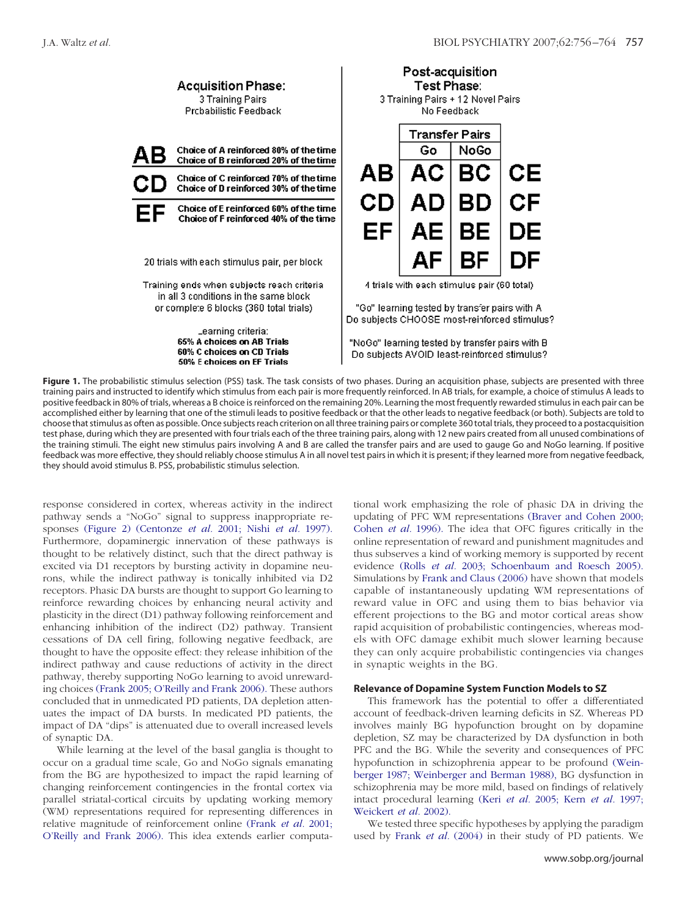CЕ

<span id="page-1-0"></span>

Figure 1. The probabilistic stimulus selection (PSS) task. The task consists of two phases. During an acquisition phase, subjects are presented with three training pairs and instructed to identify which stimulus from each pair is more frequently reinforced. In AB trials, for example, a choice of stimulus A leads to positive feedback in 80% of trials, whereas a B choice is reinforced on the remaining 20%. Learning the most frequently rewarded stimulus in each pair can be accomplished either by learning that one of the stimuli leads to positive feedback or that the other leads to negative feedback (or both). Subjects are told to choose that stimulus as often as possible. Once subjects reach criterion on all three training pairs or complete 360 total trials, they proceed to a postacquisition test phase, during which they are presented with four trials each of the three training pairs, along with 12 new pairs created from all unused combinations of the training stimuli. The eight new stimulus pairs involving A and B are called the transfer pairs and are used to gauge Go and NoGo learning. If positive feedback was more effective, they should reliably choose stimulus A in all novel test pairs in which it is present; if they learned more from negative feedback, they should avoid stimulus B. PSS, probabilistic stimulus selection.

response considered in cortex, whereas activity in the indirect pathway sends a "NoGo" signal to suppress inappropriate responses [\(Figure](#page-2-0) 2) [\(Centonze](#page-7-0) *et al.* 2001; Nishi *et al.* 1997). Furthermore, dopaminergic innervation of these pathways is thought to be relatively distinct, such that the direct pathway is excited via D1 receptors by bursting activity in dopamine neurons, while the indirect pathway is tonically inhibited via D2 receptors. Phasic DA bursts are thought to support Go learning to reinforce rewarding choices by enhancing neural activity and plasticity in the direct (D1) pathway following reinforcement and enhancing inhibition of the indirect (D2) pathway. Transient cessations of DA cell firing, following negative feedback, are thought to have the opposite effect: they release inhibition of the indirect pathway and cause reductions of activity in the direct pathway, thereby supporting NoGo learning to avoid unrewarding choices (Frank 2005; [O'Reilly](#page-7-0) and Frank 2006). These authors concluded that in unmedicated PD patients, DA depletion attenuates the impact of DA bursts. In medicated PD patients, the impact of DA "dips" is attenuated due to overall increased levels of synaptic DA.

While learning at the level of the basal ganglia is thought to occur on a gradual time scale, Go and NoGo signals emanating from the BG are hypothesized to impact the rapid learning of changing reinforcement contingencies in the frontal cortex via parallel striatal-cortical circuits by updating working memory (WM) representations required for representing differences in relative magnitude of reinforcement online [\(Frank](#page-7-0) *et al.* 2001; [O'Reilly](#page-7-0) and Frank 2006). This idea extends earlier computa-

tional work emphasizing the role of phasic DA in driving the updating of PFC WM representations [\(Braver](#page-7-0) and Cohen 2000; [Cohen](#page-7-0) *et al.* 1996). The idea that OFC figures critically in the online representation of reward and punishment magnitudes and thus subserves a kind of working memory is supported by recent evidence (Rolls *et al.* 2003; [Schoenbaum](#page-8-0) and Roesch 2005). Simulations by Frank and Claus [\(2006\)](#page-7-0) have shown that models capable of instantaneously updating WM representations of reward value in OFC and using them to bias behavior via efferent projections to the BG and motor cortical areas show rapid acquisition of probabilistic contingencies, whereas models with OFC damage exhibit much slower learning because they can only acquire probabilistic contingencies via changes in synaptic weights in the BG.

#### **Relevance of Dopamine System Function Models to SZ**

This framework has the potential to offer a differentiated account of feedback-driven learning deficits in SZ. Whereas PD involves mainly BG hypofunction brought on by dopamine depletion, SZ may be characterized by DA dysfunction in both PFC and the BG. While the severity and consequences of PFC hypofunction in schizophrenia appear to be profound [\(Wein](#page-8-0)berger 1987; [Weinberger](#page-8-0) and Berman 1988), BG dysfunction in schizophrenia may be more mild, based on findings of relatively intact procedural learning (Keri *et al.* 2005; Kern *et al.* [1997;](#page-7-0) [Weickert](#page-7-0) *et al.* 2002).

We tested three specific hypotheses by applying the paradigm used by Frank *et al.* [\(2004\)](#page-7-0) in their study of PD patients. We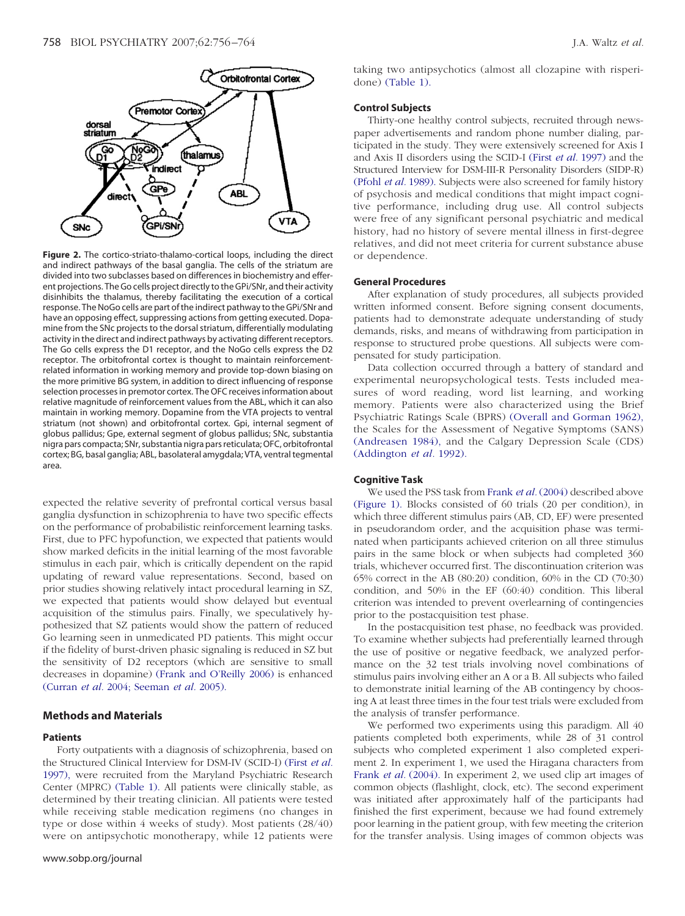<span id="page-2-0"></span>

**Figure 2.** The cortico-striato-thalamo-cortical loops, including the direct and indirect pathways of the basal ganglia. The cells of the striatum are divided into two subclasses based on differences in biochemistry and efferent projections. The Go cells project directly to the GPi/SNr, and their activity disinhibits the thalamus, thereby facilitating the execution of a cortical response. The NoGo cells are part of the indirect pathway to the GPi/SNr and have an opposing effect, suppressing actions from getting executed. Dopamine from the SNc projects to the dorsal striatum, differentially modulating activity in the direct and indirect pathways by activating different receptors. The Go cells express the D1 receptor, and the NoGo cells express the D2 receptor. The orbitofrontal cortex is thought to maintain reinforcementrelated information in working memory and provide top-down biasing on the more primitive BG system, in addition to direct influencing of response selection processes in premotor cortex. The OFC receives information about relative magnitude of reinforcement values from the ABL, which it can also maintain in working memory. Dopamine from the VTA projects to ventral striatum (not shown) and orbitofrontal cortex. Gpi, internal segment of globus pallidus; Gpe, external segment of globus pallidus; SNc, substantia nigra pars compacta; SNr, substantia nigra pars reticulata; OFC, orbitofrontal cortex; BG, basal ganglia; ABL, basolateral amygdala; VTA, ventral tegmental area.

expected the relative severity of prefrontal cortical versus basal ganglia dysfunction in schizophrenia to have two specific effects on the performance of probabilistic reinforcement learning tasks. First, due to PFC hypofunction, we expected that patients would show marked deficits in the initial learning of the most favorable stimulus in each pair, which is critically dependent on the rapid updating of reward value representations. Second, based on prior studies showing relatively intact procedural learning in SZ, we expected that patients would show delayed but eventual acquisition of the stimulus pairs. Finally, we speculatively hypothesized that SZ patients would show the pattern of reduced Go learning seen in unmedicated PD patients. This might occur if the fidelity of burst-driven phasic signaling is reduced in SZ but the sensitivity of D2 receptors (which are sensitive to small decreases in dopamine) (Frank and [O'Reilly](#page-7-0) 2006) is enhanced (Curran *et al.* 2004; [Seeman](#page-7-0) *et al.* 2005).

## **Methods and Materials**

## **Patients**

Forty outpatients with a diagnosis of schizophrenia, based on the Structured Clinical Interview for DSM-IV (SCID-I) [\(First](#page-7-0) *et al.* [1997\)](#page-7-0), were recruited from the Maryland Psychiatric Research Center (MPRC) [\(Table](#page-3-0) 1). All patients were clinically stable, as determined by their treating clinician. All patients were tested while receiving stable medication regimens (no changes in type or dose within 4 weeks of study). Most patients (28/40) were on antipsychotic monotherapy, while 12 patients were taking two antipsychotics (almost all clozapine with risperidone) [\(Table](#page-3-0) 1).

#### **Control Subjects**

Thirty-one healthy control subjects, recruited through newspaper advertisements and random phone number dialing, participated in the study. They were extensively screened for Axis I and Axis II disorders using the SCID-I (First *et al.* [1997\)](#page-7-0) and the Structured Interview for DSM-III-R Personality Disorders (SIDP-R) [\(Pfohl](#page-8-0) *et al.* 1989). Subjects were also screened for family history of psychosis and medical conditions that might impact cognitive performance, including drug use. All control subjects were free of any significant personal psychiatric and medical history, had no history of severe mental illness in first-degree relatives, and did not meet criteria for current substance abuse or dependence.

## **General Procedures**

After explanation of study procedures, all subjects provided written informed consent. Before signing consent documents, patients had to demonstrate adequate understanding of study demands, risks, and means of withdrawing from participation in response to structured probe questions. All subjects were compensated for study participation.

Data collection occurred through a battery of standard and experimental neuropsychological tests. Tests included measures of word reading, word list learning, and working memory. Patients were also characterized using the Brief Psychiatric Ratings Scale (BPRS) (Overall and [Gorman](#page-8-0) 1962), the Scales for the Assessment of Negative Symptoms (SANS) [\(Andreasen](#page-7-0) 1984), and the Calgary Depression Scale (CDS) [\(Addington](#page-7-0) *et al.* 1992).

## **Cognitive Task**

We used the PSS task from Frank *et al.* [\(2004\)](#page-7-0) described above [\(Figure](#page-1-0) 1). Blocks consisted of 60 trials (20 per condition), in which three different stimulus pairs (AB, CD, EF) were presented in pseudorandom order, and the acquisition phase was terminated when participants achieved criterion on all three stimulus pairs in the same block or when subjects had completed 360 trials, whichever occurred first. The discontinuation criterion was 65% correct in the AB (80:20) condition, 60% in the CD (70:30) condition, and 50% in the EF (60:40) condition. This liberal criterion was intended to prevent overlearning of contingencies prior to the postacquisition test phase.

In the postacquisition test phase, no feedback was provided. To examine whether subjects had preferentially learned through the use of positive or negative feedback, we analyzed performance on the 32 test trials involving novel combinations of stimulus pairs involving either an A or a B. All subjects who failed to demonstrate initial learning of the AB contingency by choosing A at least three times in the four test trials were excluded from the analysis of transfer performance.

We performed two experiments using this paradigm. All 40 patients completed both experiments, while 28 of 31 control subjects who completed experiment 1 also completed experiment 2. In experiment 1, we used the Hiragana characters from Frank *et al.* [\(2004\).](#page-7-0) In experiment 2, we used clip art images of common objects (flashlight, clock, etc). The second experiment was initiated after approximately half of the participants had finished the first experiment, because we had found extremely poor learning in the patient group, with few meeting the criterion for the transfer analysis. Using images of common objects was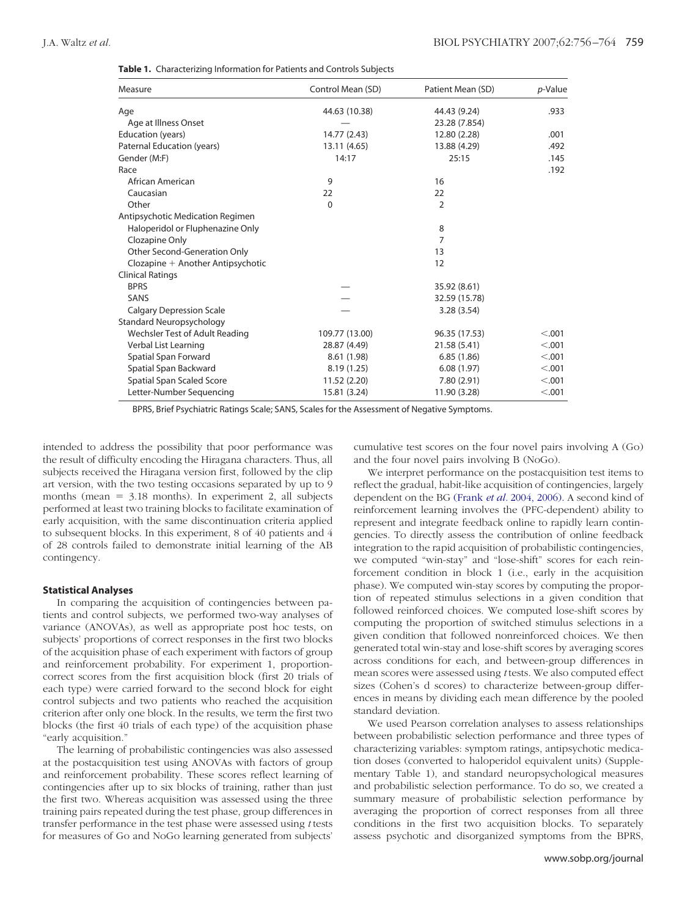<span id="page-3-0"></span>

| Table 1. Characterizing Information for Patients and Controls Subjects |  |  |  |  |  |  |  |
|------------------------------------------------------------------------|--|--|--|--|--|--|--|
|------------------------------------------------------------------------|--|--|--|--|--|--|--|

| Measure                           | Control Mean (SD) | Patient Mean (SD) | $p$ -Value |
|-----------------------------------|-------------------|-------------------|------------|
| Age                               | 44.63 (10.38)     | 44.43 (9.24)      | .933       |
| Age at Illness Onset              |                   | 23.28 (7.854)     |            |
| Education (years)                 | 14.77 (2.43)      | 12.80 (2.28)      | .001       |
| Paternal Education (years)        | 13.11 (4.65)      | 13.88 (4.29)      | .492       |
| Gender (M:F)                      | 14:17             | 25:15             | .145       |
| Race                              |                   |                   | .192       |
| African American                  | 9                 | 16                |            |
| Caucasian                         | 22                | 22                |            |
| Other                             | $\mathbf 0$       | 2                 |            |
| Antipsychotic Medication Regimen  |                   |                   |            |
| Haloperidol or Fluphenazine Only  |                   | 8                 |            |
| Clozapine Only                    |                   | 7                 |            |
| Other Second-Generation Only      |                   | 13                |            |
| Clozapine + Another Antipsychotic |                   | 12                |            |
| <b>Clinical Ratings</b>           |                   |                   |            |
| <b>BPRS</b>                       |                   | 35.92 (8.61)      |            |
| SANS                              |                   | 32.59 (15.78)     |            |
| <b>Calgary Depression Scale</b>   |                   | 3.28(3.54)        |            |
| Standard Neuropsychology          |                   |                   |            |
| Wechsler Test of Adult Reading    | 109.77 (13.00)    | 96.35 (17.53)     | < .001     |
| Verbal List Learning              | 28.87 (4.49)      | 21.58 (5.41)      | < .001     |
| Spatial Span Forward              | 8.61 (1.98)       | 6.85(1.86)        | < .001     |
| Spatial Span Backward             | 8.19(1.25)        | 6.08(1.97)        | < .001     |
| Spatial Span Scaled Score         | 11.52 (2.20)      | 7.80 (2.91)       | < .001     |
| Letter-Number Sequencing          | 15.81 (3.24)      | 11.90 (3.28)      | < .001     |

BPRS, Brief Psychiatric Ratings Scale; SANS, Scales for the Assessment of Negative Symptoms.

intended to address the possibility that poor performance was the result of difficulty encoding the Hiragana characters. Thus, all subjects received the Hiragana version first, followed by the clip art version, with the two testing occasions separated by up to 9 months (mean  $= 3.18$  months). In experiment 2, all subjects performed at least two training blocks to facilitate examination of early acquisition, with the same discontinuation criteria applied to subsequent blocks. In this experiment, 8 of 40 patients and 4 of 28 controls failed to demonstrate initial learning of the AB contingency.

## **Statistical Analyses**

In comparing the acquisition of contingencies between patients and control subjects, we performed two-way analyses of variance (ANOVAs), as well as appropriate post hoc tests, on subjects' proportions of correct responses in the first two blocks of the acquisition phase of each experiment with factors of group and reinforcement probability. For experiment 1, proportioncorrect scores from the first acquisition block (first 20 trials of each type) were carried forward to the second block for eight control subjects and two patients who reached the acquisition criterion after only one block. In the results, we term the first two blocks (the first 40 trials of each type) of the acquisition phase "early acquisition."

The learning of probabilistic contingencies was also assessed at the postacquisition test using ANOVAs with factors of group and reinforcement probability. These scores reflect learning of contingencies after up to six blocks of training, rather than just the first two. Whereas acquisition was assessed using the three training pairs repeated during the test phase, group differences in transfer performance in the test phase were assessed using *t* tests for measures of Go and NoGo learning generated from subjects'

cumulative test scores on the four novel pairs involving A (Go) and the four novel pairs involving B (NoGo).

We interpret performance on the postacquisition test items to reflect the gradual, habit-like acquisition of contingencies, largely dependent on the BG [\(Frank](#page-7-0) *et al.* 2004, 2006). A second kind of reinforcement learning involves the (PFC-dependent) ability to represent and integrate feedback online to rapidly learn contingencies. To directly assess the contribution of online feedback integration to the rapid acquisition of probabilistic contingencies, we computed "win-stay" and "lose-shift" scores for each reinforcement condition in block 1 (i.e., early in the acquisition phase). We computed win-stay scores by computing the proportion of repeated stimulus selections in a given condition that followed reinforced choices. We computed lose-shift scores by computing the proportion of switched stimulus selections in a given condition that followed nonreinforced choices. We then generated total win-stay and lose-shift scores by averaging scores across conditions for each, and between-group differences in mean scores were assessed using *t* tests. We also computed effect sizes (Cohen's d scores) to characterize between-group differences in means by dividing each mean difference by the pooled standard deviation.

We used Pearson correlation analyses to assess relationships between probabilistic selection performance and three types of characterizing variables: symptom ratings, antipsychotic medication doses (converted to haloperidol equivalent units) (Supplementary Table 1), and standard neuropsychological measures and probabilistic selection performance. To do so, we created a summary measure of probabilistic selection performance by averaging the proportion of correct responses from all three conditions in the first two acquisition blocks. To separately assess psychotic and disorganized symptoms from the BPRS,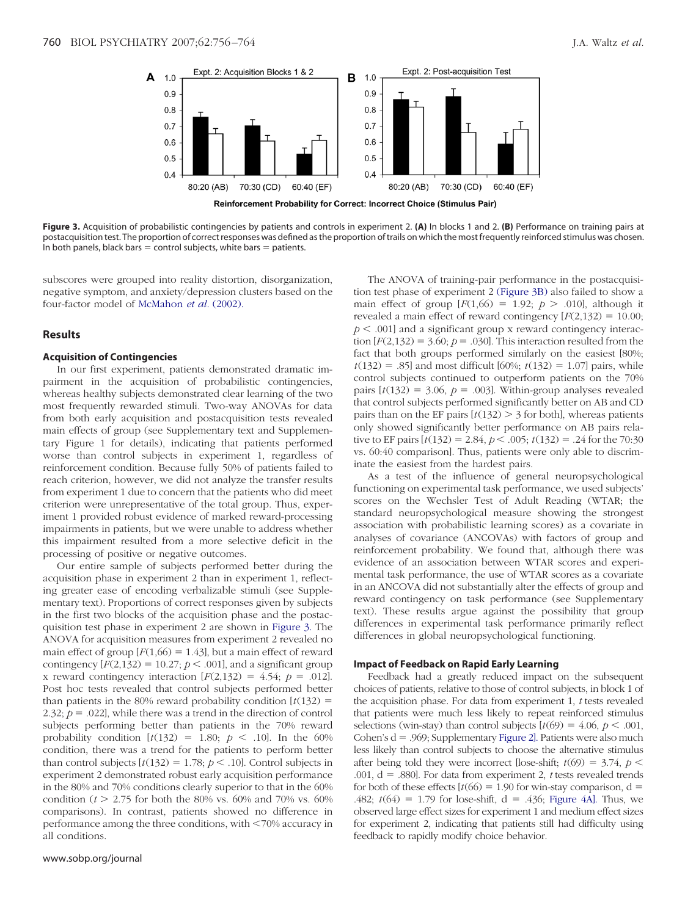



**Figure 3.** Acquisition of probabilistic contingencies by patients and controls in experiment 2. **(A)** In blocks 1 and 2. **(B)** Performance on training pairs at postacquisition test. The proportion of correct responses was defined as the proportion of trails on which the most frequently reinforced stimulus was chosen. In both panels, black bars  $=$  control subjects, white bars  $=$  patients.

subscores were grouped into reality distortion, disorganization, negative symptom, and anxiety/depression clusters based on the four-factor model of [McMahon](#page-8-0) *et al.* (2002).

## **Results**

## **Acquisition of Contingencies**

In our first experiment, patients demonstrated dramatic impairment in the acquisition of probabilistic contingencies, whereas healthy subjects demonstrated clear learning of the two most frequently rewarded stimuli. Two-way ANOVAs for data from both early acquisition and postacquisition tests revealed main effects of group (see Supplementary text and Supplementary Figure 1 for details), indicating that patients performed worse than control subjects in experiment 1, regardless of reinforcement condition. Because fully 50% of patients failed to reach criterion, however, we did not analyze the transfer results from experiment 1 due to concern that the patients who did meet criterion were unrepresentative of the total group. Thus, experiment 1 provided robust evidence of marked reward-processing impairments in patients, but we were unable to address whether this impairment resulted from a more selective deficit in the processing of positive or negative outcomes.

Our entire sample of subjects performed better during the acquisition phase in experiment 2 than in experiment 1, reflecting greater ease of encoding verbalizable stimuli (see Supplementary text). Proportions of correct responses given by subjects in the first two blocks of the acquisition phase and the postacquisition test phase in experiment 2 are shown in Figure 3. The ANOVA for acquisition measures from experiment 2 revealed no main effect of group  $[F(1,66) = 1.43]$ , but a main effect of reward contingency  $[F(2,132) = 10.27; p < .001]$ , and a significant group x reward contingency interaction  $[F(2,132) = 4.54; p = .012]$ . Post hoc tests revealed that control subjects performed better than patients in the 80% reward probability condition  $[t(132) =$ 2.32;  $p = 0.022$ , while there was a trend in the direction of control subjects performing better than patients in the 70% reward probability condition  $[t(132) = 1.80; p < .10]$ . In the 60% condition, there was a trend for the patients to perform better than control subjects  $[t(132) = 1.78; p < .10]$ . Control subjects in experiment 2 demonstrated robust early acquisition performance in the 80% and 70% conditions clearly superior to that in the 60% condition ( $t > 2.75$  for both the 80% vs. 60% and 70% vs. 60% comparisons). In contrast, patients showed no difference in performance among the three conditions, with  $\leq 70\%$  accuracy in all conditions.

www.sobp.org/journal

The ANOVA of training-pair performance in the postacquisition test phase of experiment 2 (Figure 3B) also failed to show a main effect of group  $[F(1,66) = 1.92; p > .010]$ , although it revealed a main effect of reward contingency  $[F(2,132) = 10.00;$  $p < .001$ ] and a significant group x reward contingency interaction  $[F(2,132) = 3.60; p = .030]$ . This interaction resulted from the fact that both groups performed similarly on the easiest [80%;  $t(132) = .85$ ] and most difficult [60%;  $t(132) = 1.07$ ] pairs, while control subjects continued to outperform patients on the 70% pairs  $[t(132) = 3.06, p = .003]$ . Within-group analyses revealed that control subjects performed significantly better on AB and CD pairs than on the EF pairs  $[t(132) > 3$  for both], whereas patients only showed significantly better performance on AB pairs relative to EF pairs  $[t(132) = 2.84, p < .005; t(132) = .24$  for the 70:30 vs. 60:40 comparison]. Thus, patients were only able to discriminate the easiest from the hardest pairs.

As a test of the influence of general neuropsychological functioning on experimental task performance, we used subjects' scores on the Wechsler Test of Adult Reading (WTAR; the standard neuropsychological measure showing the strongest association with probabilistic learning scores) as a covariate in analyses of covariance (ANCOVAs) with factors of group and reinforcement probability. We found that, although there was evidence of an association between WTAR scores and experimental task performance, the use of WTAR scores as a covariate in an ANCOVA did not substantially alter the effects of group and reward contingency on task performance (see Supplementary text). These results argue against the possibility that group differences in experimental task performance primarily reflect differences in global neuropsychological functioning.

#### **Impact of Feedback on Rapid Early Learning**

Feedback had a greatly reduced impact on the subsequent choices of patients, relative to those of control subjects, in block 1 of the acquisition phase. For data from experiment 1, *t* tests revealed that patients were much less likely to repeat reinforced stimulus selections (win-stay) than control subjects  $[t(69) = 4.06, p < .001,$ Cohen's d = .969; Supplementary [Figure](#page-2-0) 2]. Patients were also much less likely than control subjects to choose the alternative stimulus after being told they were incorrect [lose-shift;  $t(69) = 3.74$ ,  $p <$ .001,  $d = .880$ ]. For data from experiment 2, *t* tests revealed trends for both of these effects  $[t(66) = 1.90$  for win-stay comparison,  $d =$  $.482; t(64) = 1.79$  for lose-shift,  $d = .436;$  [Figure](#page-5-0) 4A. Thus, we observed large effect sizes for experiment 1 and medium effect sizes for experiment 2, indicating that patients still had difficulty using feedback to rapidly modify choice behavior.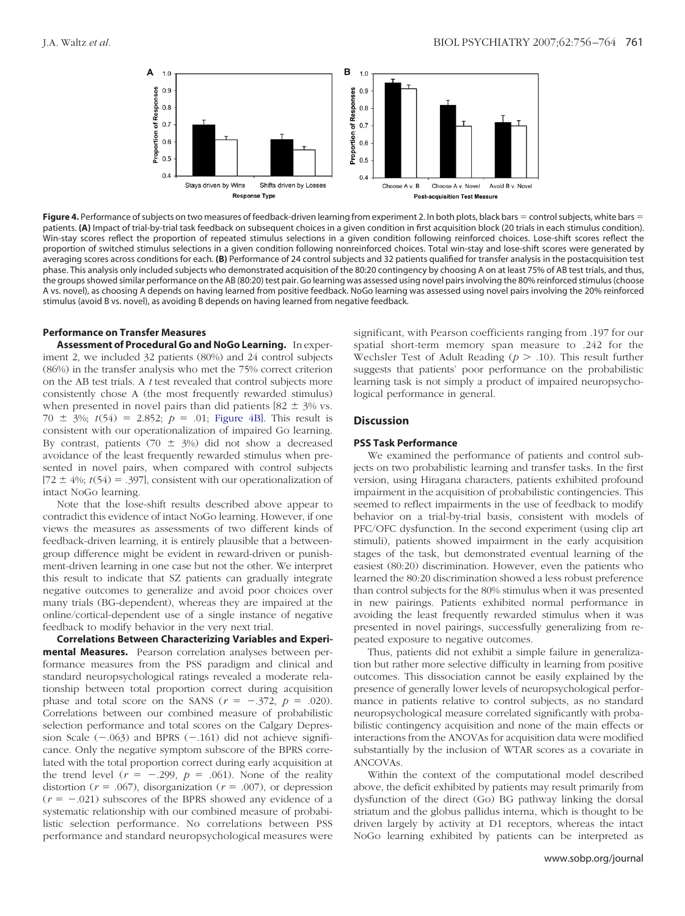<span id="page-5-0"></span>

Figure 4. Performance of subjects on two measures of feedback-driven learning from experiment 2. In both plots, black bars = control subjects, white bars = patients. (A) Impact of trial-by-trial task feedback on subsequent choices in a given condition in first acquisition block (20 trials in each stimulus condition). Win-stay scores reflect the proportion of repeated stimulus selections in a given condition following reinforced choices. Lose-shift scores reflect the proportion of switched stimulus selections in a given condition following nonreinforced choices. Total win-stay and lose-shift scores were generated by averaging scores across conditions for each. **(B)** Performance of 24 control subjects and 32 patients qualified for transfer analysis in the postacquisition test phase. This analysis only included subjects who demonstrated acquisition of the 80:20 contingency by choosing A on at least 75% of AB test trials, and thus, the groups showed similar performance on the AB (80:20) test pair. Go learning was assessed using novel pairs involving the 80% reinforced stimulus (choose A vs. novel), as choosing A depends on having learned from positive feedback. NoGo learning was assessed using novel pairs involving the 20% reinforced stimulus (avoid B vs. novel), as avoiding B depends on having learned from negative feedback.

#### **Performance on Transfer Measures**

**Assessment of Procedural Go and NoGo Learning.** In experiment 2, we included 32 patients (80%) and 24 control subjects (86%) in the transfer analysis who met the 75% correct criterion on the AB test trials. A *t* test revealed that control subjects more consistently chose A (the most frequently rewarded stimulus) when presented in novel pairs than did patients  $[82 \pm 3\% \text{ vs.}]\$ 70  $\pm$  3%;  $t(54) = 2.852$ ;  $p = .01$ ; Figure 4B. This result is consistent with our operationalization of impaired Go learning. By contrast, patients (70  $\pm$  3%) did not show a decreased avoidance of the least frequently rewarded stimulus when presented in novel pairs, when compared with control subjects  $[72 \pm 4\%; t(54) = .397]$ , consistent with our operationalization of intact NoGo learning.

Note that the lose-shift results described above appear to contradict this evidence of intact NoGo learning. However, if one views the measures as assessments of two different kinds of feedback-driven learning, it is entirely plausible that a betweengroup difference might be evident in reward-driven or punishment-driven learning in one case but not the other. We interpret this result to indicate that SZ patients can gradually integrate negative outcomes to generalize and avoid poor choices over many trials (BG-dependent), whereas they are impaired at the online/cortical-dependent use of a single instance of negative feedback to modify behavior in the very next trial.

**Correlations Between Characterizing Variables and Experimental Measures.** Pearson correlation analyses between performance measures from the PSS paradigm and clinical and standard neuropsychological ratings revealed a moderate relationship between total proportion correct during acquisition phase and total score on the SANS ( $r = -.372$ ,  $p = .020$ ). Correlations between our combined measure of probabilistic selection performance and total scores on the Calgary Depression Scale  $(-.063)$  and BPRS  $(-.161)$  did not achieve significance. Only the negative symptom subscore of the BPRS correlated with the total proportion correct during early acquisition at the trend level  $(r = -.299, p = .061)$ . None of the reality distortion ( $r = .067$ ), disorganization ( $r = .007$ ), or depression  $(r = -.021)$  subscores of the BPRS showed any evidence of a systematic relationship with our combined measure of probabilistic selection performance. No correlations between PSS performance and standard neuropsychological measures were

significant, with Pearson coefficients ranging from .197 for our spatial short-term memory span measure to .242 for the Wechsler Test of Adult Reading ( $p > .10$ ). This result further suggests that patients' poor performance on the probabilistic learning task is not simply a product of impaired neuropsychological performance in general.

#### **Discussion**

#### **PSS Task Performance**

We examined the performance of patients and control subjects on two probabilistic learning and transfer tasks. In the first version, using Hiragana characters, patients exhibited profound impairment in the acquisition of probabilistic contingencies. This seemed to reflect impairments in the use of feedback to modify behavior on a trial-by-trial basis, consistent with models of PFC/OFC dysfunction. In the second experiment (using clip art stimuli), patients showed impairment in the early acquisition stages of the task, but demonstrated eventual learning of the easiest (80:20) discrimination. However, even the patients who learned the 80:20 discrimination showed a less robust preference than control subjects for the 80% stimulus when it was presented in new pairings. Patients exhibited normal performance in avoiding the least frequently rewarded stimulus when it was presented in novel pairings, successfully generalizing from repeated exposure to negative outcomes.

Thus, patients did not exhibit a simple failure in generalization but rather more selective difficulty in learning from positive outcomes. This dissociation cannot be easily explained by the presence of generally lower levels of neuropsychological performance in patients relative to control subjects, as no standard neuropsychological measure correlated significantly with probabilistic contingency acquisition and none of the main effects or interactions from the ANOVAs for acquisition data were modified substantially by the inclusion of WTAR scores as a covariate in ANCOVAs.

Within the context of the computational model described above, the deficit exhibited by patients may result primarily from dysfunction of the direct (Go) BG pathway linking the dorsal striatum and the globus pallidus interna, which is thought to be driven largely by activity at D1 receptors, whereas the intact NoGo learning exhibited by patients can be interpreted as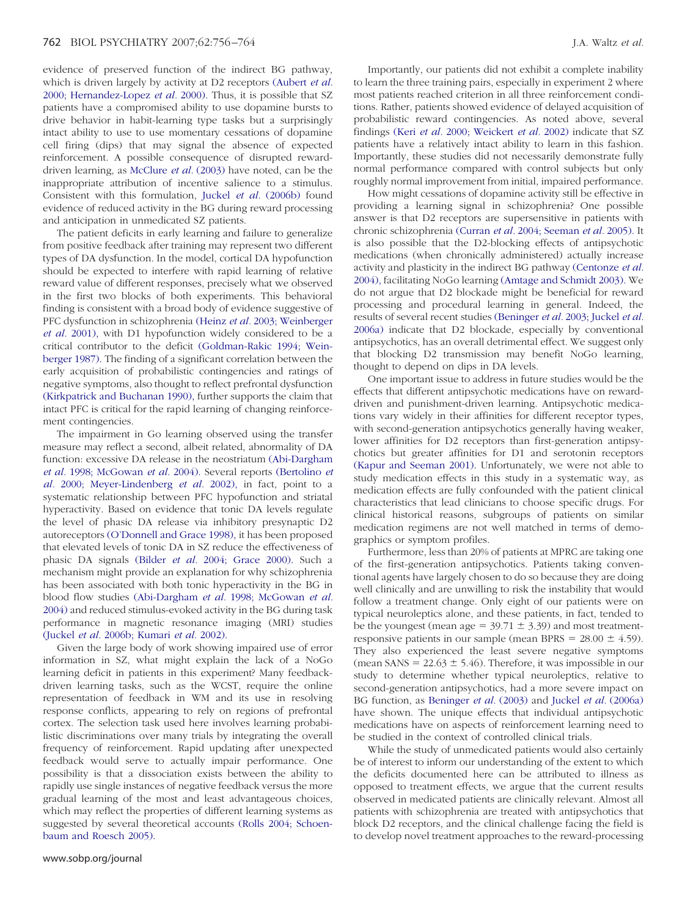evidence of preserved function of the indirect BG pathway, which is driven largely by activity at D2 receptors [\(Aubert](#page-7-0) *et al.* 2000; [Hernandez-Lopez](#page-7-0) *et al.* 2000). Thus, it is possible that SZ patients have a compromised ability to use dopamine bursts to drive behavior in habit-learning type tasks but a surprisingly intact ability to use to use momentary cessations of dopamine cell firing (dips) that may signal the absence of expected reinforcement. A possible consequence of disrupted rewarddriven learning, as [McClure](#page-8-0) *et al.* (2003) have noted, can be the inappropriate attribution of incentive salience to a stimulus. Consistent with this formulation, Juckel *et al.* [\(2006b\)](#page-7-0) found evidence of reduced activity in the BG during reward processing and anticipation in unmedicated SZ patients.

The patient deficits in early learning and failure to generalize from positive feedback after training may represent two different types of DA dysfunction. In the model, cortical DA hypofunction should be expected to interfere with rapid learning of relative reward value of different responses, precisely what we observed in the first two blocks of both experiments. This behavioral finding is consistent with a broad body of evidence suggestive of PFC dysfunction in schizophrenia (Heinz *et al.* 2003; [Weinberger](#page-7-0) *et al.* [2001\)](#page-7-0), with D1 hypofunction widely considered to be a critical contributor to the deficit [\(Goldman-Rakic](#page-7-0) 1994; Wein[berger](#page-7-0) 1987). The finding of a significant correlation between the early acquisition of probabilistic contingencies and ratings of negative symptoms, also thought to reflect prefrontal dysfunction [\(Kirkpatrick](#page-8-0) and Buchanan 1990), further supports the claim that intact PFC is critical for the rapid learning of changing reinforcement contingencies.

The impairment in Go learning observed using the transfer measure may reflect a second, albeit related, abnormality of DA function: excessive DA release in the neostriatum [\(Abi-Dargham](#page-7-0) *et al.* 1998; [McGowan](#page-7-0) *et al.* 2004). Several reports [\(Bertolino](#page-7-0) *et al.* 2000; [Meyer-Lindenberg](#page-7-0) *et al.* 2002), in fact, point to a systematic relationship between PFC hypofunction and striatal hyperactivity. Based on evidence that tonic DA levels regulate the level of phasic DA release via inhibitory presynaptic D2 autoreceptors [\(O'Donnell](#page-8-0) and Grace 1998), it has been proposed that elevated levels of tonic DA in SZ reduce the effectiveness of phasic DA signals [\(Bilder](#page-7-0) *et al.* 2004; Grace 2000). Such a mechanism might provide an explanation for why schizophrenia has been associated with both tonic hyperactivity in the BG in blood flow studies [\(Abi-Dargham](#page-7-0) *et al.* 1998; McGowan *et al.* [2004\)](#page-7-0) and reduced stimulus-evoked activity in the BG during task performance in magnetic resonance imaging (MRI) studies (Juckel *et al.* 2006b; [Kumari](#page-7-0) *et al.* 2002).

Given the large body of work showing impaired use of error information in SZ, what might explain the lack of a NoGo learning deficit in patients in this experiment? Many feedbackdriven learning tasks, such as the WCST, require the online representation of feedback in WM and its use in resolving response conflicts, appearing to rely on regions of prefrontal cortex. The selection task used here involves learning probabilistic discriminations over many trials by integrating the overall frequency of reinforcement. Rapid updating after unexpected feedback would serve to actually impair performance. One possibility is that a dissociation exists between the ability to rapidly use single instances of negative feedback versus the more gradual learning of the most and least advantageous choices, which may reflect the properties of different learning systems as suggested by several theoretical accounts (Rolls 2004; [Schoen](#page-8-0)baum and [Roesch](#page-8-0) 2005).

Importantly, our patients did not exhibit a complete inability to learn the three training pairs, especially in experiment 2 where most patients reached criterion in all three reinforcement conditions. Rather, patients showed evidence of delayed acquisition of probabilistic reward contingencies. As noted above, several findings (Keri *et al.* 2000; [Weickert](#page-7-0) *et al.* 2002) indicate that SZ patients have a relatively intact ability to learn in this fashion. Importantly, these studies did not necessarily demonstrate fully normal performance compared with control subjects but only roughly normal improvement from initial, impaired performance.

How might cessations of dopamine activity still be effective in providing a learning signal in schizophrenia? One possible answer is that D2 receptors are supersensitive in patients with chronic schizophrenia (Curran *et al.* 2004; [Seeman](#page-7-0) *et al.* 2005). It is also possible that the D2-blocking effects of antipsychotic medications (when chronically administered) actually increase activity and plasticity in the indirect BG pathway [\(Centonze](#page-7-0) *et al.* [2004\)](#page-7-0), facilitating NoGo learning (Amtage and [Schmidt](#page-7-0) 2003). We do not argue that D2 blockade might be beneficial for reward processing and procedural learning in general. Indeed, the results of several recent studies [\(Beninger](#page-7-0) *et al.* 2003; Juckel *et al.* [2006a\)](#page-7-0) indicate that D2 blockade, especially by conventional antipsychotics, has an overall detrimental effect. We suggest only that blocking D2 transmission may benefit NoGo learning, thought to depend on dips in DA levels.

One important issue to address in future studies would be the effects that different antipsychotic medications have on rewarddriven and punishment-driven learning. Antipsychotic medications vary widely in their affinities for different receptor types, with second-generation antipsychotics generally having weaker, lower affinities for D2 receptors than first-generation antipsychotics but greater affinities for D1 and serotonin receptors (Kapur and [Seeman](#page-7-0) 2001). Unfortunately, we were not able to study medication effects in this study in a systematic way, as medication effects are fully confounded with the patient clinical characteristics that lead clinicians to choose specific drugs. For clinical historical reasons, subgroups of patients on similar medication regimens are not well matched in terms of demographics or symptom profiles.

Furthermore, less than 20% of patients at MPRC are taking one of the first-generation antipsychotics. Patients taking conventional agents have largely chosen to do so because they are doing well clinically and are unwilling to risk the instability that would follow a treatment change. Only eight of our patients were on typical neuroleptics alone, and these patients, in fact, tended to be the youngest (mean age =  $39.71 \pm 3.39$ ) and most treatmentresponsive patients in our sample (mean BPRS =  $28.00 \pm 4.59$ ). They also experienced the least severe negative symptoms (mean SANS =  $22.63 \pm 5.46$ ). Therefore, it was impossible in our study to determine whether typical neuroleptics, relative to second-generation antipsychotics, had a more severe impact on BG function, as [Beninger](#page-7-0) *et al.* (2003) and Juckel *et al.* [\(2006a\)](#page-7-0) have shown. The unique effects that individual antipsychotic medications have on aspects of reinforcement learning need to be studied in the context of controlled clinical trials.

While the study of unmedicated patients would also certainly be of interest to inform our understanding of the extent to which the deficits documented here can be attributed to illness as opposed to treatment effects, we argue that the current results observed in medicated patients are clinically relevant. Almost all patients with schizophrenia are treated with antipsychotics that block D2 receptors, and the clinical challenge facing the field is to develop novel treatment approaches to the reward-processing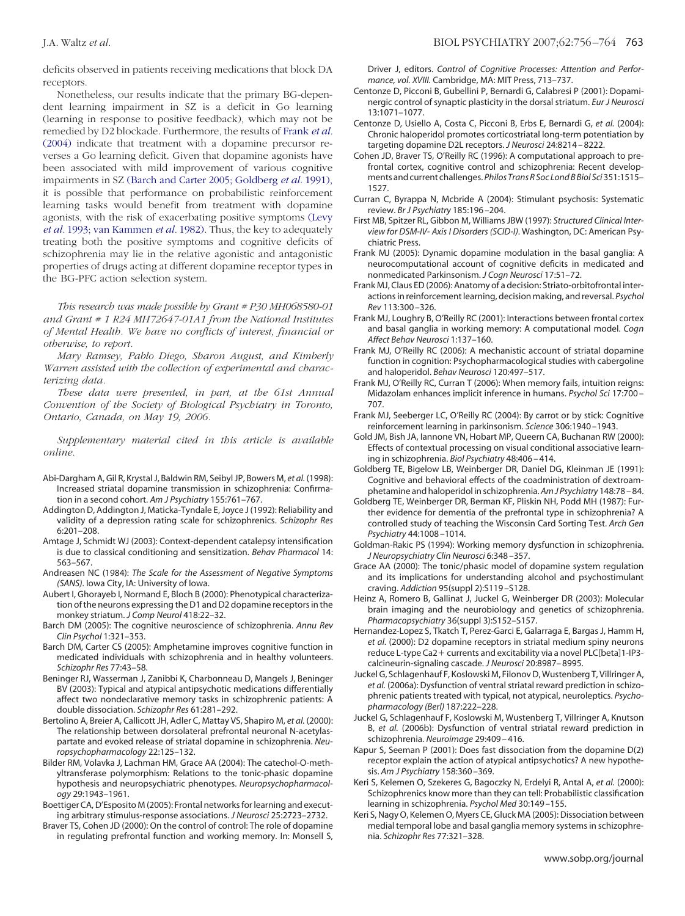<span id="page-7-0"></span>deficits observed in patients receiving medications that block DA receptors.

Nonetheless, our results indicate that the primary BG-dependent learning impairment in SZ is a deficit in Go learning (learning in response to positive feedback), which may not be remedied by D2 blockade. Furthermore, the results of Frank *et al.* (2004) indicate that treatment with a dopamine precursor reverses a Go learning deficit. Given that dopamine agonists have been associated with mild improvement of various cognitive impairments in SZ (Barch and Carter 2005; Goldberg *et al.* 1991), it is possible that performance on probabilistic reinforcement learning tasks would benefit from treatment with dopamine agonists, with the risk of exacerbating positive symptoms [\(Levy](#page-8-0) *et al.* 1993; van [Kammen](#page-8-0) *et al.* 1982). Thus, the key to adequately treating both the positive symptoms and cognitive deficits of schizophrenia may lie in the relative agonistic and antagonistic properties of drugs acting at different dopamine receptor types in the BG-PFC action selection system.

*This research was made possible by Grant # P30 MH068580-01 and Grant # 1 R24 MH72647-01A1 from the National Institutes of Mental Health. We have no conflicts of interest, financial or otherwise, to report.*

*Mary Ramsey, Pablo Diego, Sharon August, and Kimberly Warren assisted with the collection of experimental and characterizing data.*

*These data were presented, in part, at the 61st Annual Convention of the Society of Biological Psychiatry in Toronto, Ontario, Canada, on May 19, 2006.*

*Supplementary material cited in this article is available online.*

- Abi-Dargham A, Gil R, Krystal J, Baldwin RM, Seibyl JP, Bowers M, *et al.* (1998): Increased striatal dopamine transmission in schizophrenia: Confirmation in a second cohort. *Am J Psychiatry* 155:761–767.
- Addington D, Addington J, Maticka-Tyndale E, Joyce J (1992): Reliability and validity of a depression rating scale for schizophrenics. *Schizophr Res* 6:201–208.
- Amtage J, Schmidt WJ (2003): Context-dependent catalepsy intensification is due to classical conditioning and sensitization. *Behav Pharmacol* 14: 563–567.
- Andreasen NC (1984): *The Scale for the Assessment of Negative Symptoms (SANS)*. Iowa City, IA: University of Iowa.
- Aubert I, Ghorayeb I, Normand E, Bloch B (2000): Phenotypical characterization of the neurons expressing the D1 and D2 dopamine receptors in the monkey striatum. *J Comp Neurol* 418:22–32.
- Barch DM (2005): The cognitive neuroscience of schizophrenia. *Annu Rev Clin Psychol* 1:321–353.
- Barch DM, Carter CS (2005): Amphetamine improves cognitive function in medicated individuals with schizophrenia and in healthy volunteers. *Schizophr Res* 77:43–58.
- Beninger RJ, Wasserman J, Zanibbi K, Charbonneau D, Mangels J, Beninger BV (2003): Typical and atypical antipsychotic medications differentially affect two nondeclarative memory tasks in schizophrenic patients: A double dissociation. *Schizophr Res* 61:281–292.
- Bertolino A, Breier A, Callicott JH, Adler C, Mattay VS, Shapiro M, *et al.* (2000): The relationship between dorsolateral prefrontal neuronal N-acetylaspartate and evoked release of striatal dopamine in schizophrenia. *Neuropsychopharmacology* 22:125–132.
- Bilder RM, Volavka J, Lachman HM, Grace AA (2004): The catechol-O-methyltransferase polymorphism: Relations to the tonic-phasic dopamine hypothesis and neuropsychiatric phenotypes. *Neuropsychopharmacology* 29:1943–1961.
- Boettiger CA, D'Esposito M (2005): Frontal networks for learning and executing arbitrary stimulus-response associations. *J Neurosci* 25:2723–2732.
- Braver TS, Cohen JD (2000): On the control of control: The role of dopamine in regulating prefrontal function and working memory. In: Monsell S,

Driver J, editors. *Control of Cognitive Processes: Attention and Performance, vol. XVIII.* Cambridge, MA: MIT Press, 713–737.

- Centonze D, Picconi B, Gubellini P, Bernardi G, Calabresi P (2001): Dopaminergic control of synaptic plasticity in the dorsal striatum. *Eur J Neurosci* 13:1071–1077.
- Centonze D, Usiello A, Costa C, Picconi B, Erbs E, Bernardi G, *et al.* (2004): Chronic haloperidol promotes corticostriatal long-term potentiation by targeting dopamine D2L receptors. *J Neurosci* 24:8214 – 8222.
- Cohen JD, Braver TS, O'Reilly RC (1996): A computational approach to prefrontal cortex, cognitive control and schizophrenia: Recent developments and current challenges. *Philos Trans R Soc Lond B Biol Sci* 351:1515– 1527.
- Curran C, Byrappa N, Mcbride A (2004): Stimulant psychosis: Systematic review. *Br J Psychiatry* 185:196 –204.
- First MB, Spitzer RL, Gibbon M, Williams JBW (1997): *Structured Clinical Interview for DSM-IV- Axis I Disorders (SCID-I)*. Washington, DC: American Psychiatric Press.
- Frank MJ (2005): Dynamic dopamine modulation in the basal ganglia: A neurocomputational account of cognitive deficits in medicated and nonmedicated Parkinsonism. *J Cogn Neurosci* 17:51–72.
- Frank MJ, Claus ED (2006): Anatomy of a decision: Striato-orbitofrontal interactions in reinforcement learning, decision making, and reversal. *Psychol Rev* 113:300 –326.
- Frank MJ, Loughry B, O'Reilly RC (2001): Interactions between frontal cortex and basal ganglia in working memory: A computational model. *Cogn Affect Behav Neurosci* 1:137–160.
- Frank MJ, O'Reilly RC (2006): A mechanistic account of striatal dopamine function in cognition: Psychopharmacological studies with cabergoline and haloperidol. *Behav Neurosci* 120:497–517.
- Frank MJ, O'Reilly RC, Curran T (2006): When memory fails, intuition reigns: Midazolam enhances implicit inference in humans. *Psychol Sci* 17:700 – 707.
- Frank MJ, Seeberger LC, O'Reilly RC (2004): By carrot or by stick: Cognitive reinforcement learning in parkinsonism. *Science* 306:1940 –1943.
- Gold JM, Bish JA, Iannone VN, Hobart MP, Queern CA, Buchanan RW (2000): Effects of contextual processing on visual conditional associative learning in schizophrenia. *Biol Psychiatry* 48:406 – 414.
- Goldberg TE, Bigelow LB, Weinberger DR, Daniel DG, Kleinman JE (1991): Cognitive and behavioral effects of the coadministration of dextroamphetamine and haloperidol in schizophrenia.*Am J Psychiatry* 148:78 – 84.
- Goldberg TE, Weinberger DR, Berman KF, Pliskin NH, Podd MH (1987): Further evidence for dementia of the prefrontal type in schizophrenia? A controlled study of teaching the Wisconsin Card Sorting Test. *Arch Gen Psychiatry* 44:1008 –1014.
- Goldman-Rakic PS (1994): Working memory dysfunction in schizophrenia. *J Neuropsychiatry Clin Neurosci* 6:348 –357.
- Grace AA (2000): The tonic/phasic model of dopamine system regulation and its implications for understanding alcohol and psychostimulant craving. *Addiction* 95(suppl 2):S119 –S128.
- Heinz A, Romero B, Gallinat J, Juckel G, Weinberger DR (2003): Molecular brain imaging and the neurobiology and genetics of schizophrenia. *Pharmacopsychiatry* 36(suppl 3):S152–S157.
- Hernandez-Lopez S, Tkatch T, Perez-Garci E, Galarraga E, Bargas J, Hamm H, *et al.* (2000): D2 dopamine receptors in striatal medium spiny neurons reduce L-type Ca2 + currents and excitability via a novel PLC[beta]1-IP3calcineurin-signaling cascade. *J Neurosci* 20:8987– 8995.
- Juckel G, Schlagenhauf F, Koslowski M, Filonov D, Wustenberg T, Villringer A, *et al.* (2006a): Dysfunction of ventral striatal reward prediction in schizophrenic patients treated with typical, not atypical, neuroleptics. *Psychopharmacology (Berl)* 187:222–228.
- Juckel G, Schlagenhauf F, Koslowski M, Wustenberg T, Villringer A, Knutson B, *et al.* (2006b): Dysfunction of ventral striatal reward prediction in schizophrenia. *Neuroimage* 29:409 – 416.
- Kapur S, Seeman P (2001): Does fast dissociation from the dopamine D(2) receptor explain the action of atypical antipsychotics? A new hypothesis. *Am J Psychiatry* 158:360 –369.
- Keri S, Kelemen O, Szekeres G, Bagoczky N, Erdelyi R, Antal A, *et al.* (2000): Schizophrenics know more than they can tell: Probabilistic classification learning in schizophrenia. *Psychol Med* 30:149 –155.
- Keri S, Nagy O, Kelemen O, Myers CE, Gluck MA (2005): Dissociation between medial temporal lobe and basal ganglia memory systems in schizophrenia. *Schizophr Res* 77:321–328.